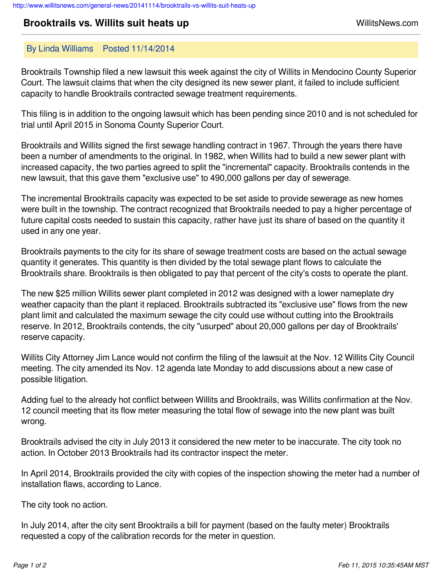## **Brooktrails vs. Willits suit heats up** MillitsNews.com

## By Linda Williams Posted 11/14/2014

Brooktrails Township filed a new lawsuit this week against the city of Willits in Mendocino County Superior Court. The lawsuit claims that when the city designed its new sewer plant, it failed to include sufficient capacity to handle Brooktrails contracted sewage treatment requirements.

This filing is in addition to the ongoing lawsuit which has been pending since 2010 and is not scheduled for trial until April 2015 in Sonoma County Superior Court.

Brooktrails and Willits signed the first sewage handling contract in 1967. Through the years there have been a number of amendments to the original. In 1982, when Willits had to build a new sewer plant with increased capacity, the two parties agreed to split the "incremental" capacity. Brooktrails contends in the new lawsuit, that this gave them "exclusive use" to 490,000 gallons per day of sewerage.

The incremental Brooktrails capacity was expected to be set aside to provide sewerage as new homes were built in the township. The contract recognized that Brooktrails needed to pay a higher percentage of future capital costs needed to sustain this capacity, rather have just its share of based on the quantity it used in any one year.

Brooktrails payments to the city for its share of sewage treatment costs are based on the actual sewage quantity it generates. This quantity is then divided by the total sewage plant flows to calculate the Brooktrails share. Brooktrails is then obligated to pay that percent of the city's costs to operate the plant.

The new \$25 million Willits sewer plant completed in 2012 was designed with a lower nameplate dry weather capacity than the plant it replaced. Brooktrails subtracted its "exclusive use" flows from the new plant limit and calculated the maximum sewage the city could use without cutting into the Brooktrails reserve. In 2012, Brooktrails contends, the city "usurped" about 20,000 gallons per day of Brooktrails' reserve capacity.

Willits City Attorney Jim Lance would not confirm the filing of the lawsuit at the Nov. 12 Willits City Council meeting. The city amended its Nov. 12 agenda late Monday to add discussions about a new case of possible litigation.

Adding fuel to the already hot conflict between Willits and Brooktrails, was Willits confirmation at the Nov. 12 council meeting that its flow meter measuring the total flow of sewage into the new plant was built wrong.

Brooktrails advised the city in July 2013 it considered the new meter to be inaccurate. The city took no action. In October 2013 Brooktrails had its contractor inspect the meter.

In April 2014, Brooktrails provided the city with copies of the inspection showing the meter had a number of installation flaws, according to Lance.

The city took no action.

In July 2014, after the city sent Brooktrails a bill for payment (based on the faulty meter) Brooktrails requested a copy of the calibration records for the meter in question.